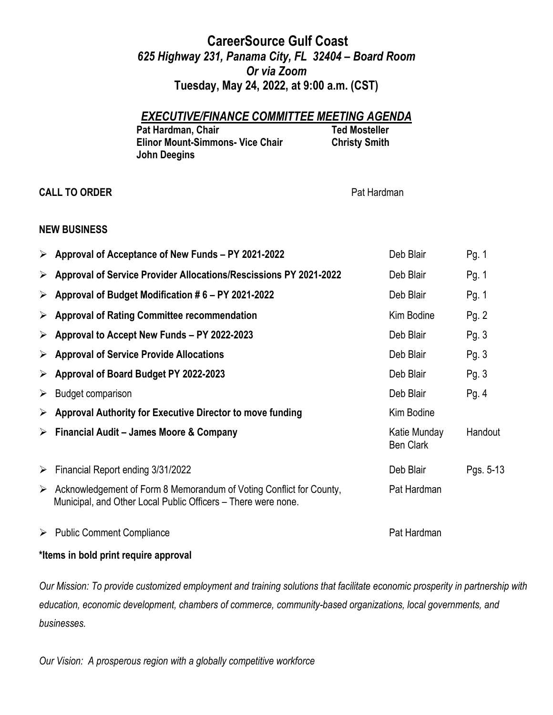# **CareerSource Gulf Coast** *625 Highway 231, Panama City, FL 32404 – Board Room Or via Zoom* **Tuesday, May 24, 2022, at 9:00 a.m. (CST)**

## *EXECUTIVE/FINANCE COMMITTEE MEETING AGENDA*

| Pat Hardman, Chair                      |  |
|-----------------------------------------|--|
| <b>Elinor Mount-Simmons- Vice Chair</b> |  |
| <b>John Deegins</b>                     |  |

**CALL TO ORDER Pat Hardman** 

**Ted Mosteller Christy Smith** 

#### **NEW BUSINESS**

|   | $\triangleright$ Approval of Acceptance of New Funds – PY 2021-2022                                                                  | Deb Blair                        | Pg. 1     |
|---|--------------------------------------------------------------------------------------------------------------------------------------|----------------------------------|-----------|
| ➤ | Approval of Service Provider Allocations/Rescissions PY 2021-2022                                                                    | Deb Blair                        | Pg. 1     |
| ➤ | Approval of Budget Modification #6 - PY 2021-2022                                                                                    | Deb Blair                        | Pg. 1     |
| ➤ | <b>Approval of Rating Committee recommendation</b>                                                                                   | Kim Bodine                       | Pg. 2     |
| ➤ | Approval to Accept New Funds - PY 2022-2023                                                                                          | Deb Blair                        | Pg.3      |
| ➤ | <b>Approval of Service Provide Allocations</b>                                                                                       | Deb Blair                        | Pg.3      |
| ➤ | Approval of Board Budget PY 2022-2023                                                                                                | Deb Blair                        | Pg.3      |
| ➤ | <b>Budget comparison</b>                                                                                                             | Deb Blair                        | Pg. $4$   |
| ➤ | Approval Authority for Executive Director to move funding                                                                            | Kim Bodine                       |           |
| ➤ | Financial Audit - James Moore & Company                                                                                              | Katie Munday<br><b>Ben Clark</b> | Handout   |
| ➤ | Financial Report ending 3/31/2022                                                                                                    | Deb Blair                        | Pgs. 5-13 |
| ➤ | Acknowledgement of Form 8 Memorandum of Voting Conflict for County,<br>Municipal, and Other Local Public Officers – There were none. | Pat Hardman                      |           |
| ➤ | <b>Public Comment Compliance</b>                                                                                                     | Pat Hardman                      |           |

### **\*Items in bold print require approval**

*Our Mission: To provide customized employment and training solutions that facilitate economic prosperity in partnership with education, economic development, chambers of commerce, community-based organizations, local governments, and businesses.*

*Our Vision: A prosperous region with a globally competitive workforce*